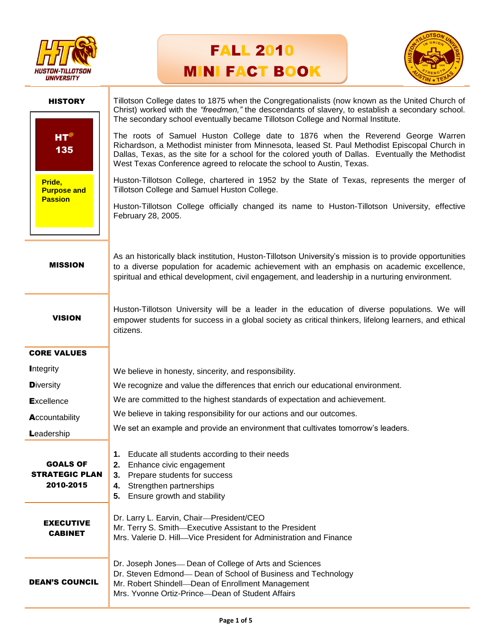





| <b>HISTORY</b>                                                               | Tillotson College dates to 1875 when the Congregationalists (now known as the United Church of<br>Christ) worked with the "freedmen," the descendants of slavery, to establish a secondary school.<br>The secondary school eventually became Tillotson College and Normal Institute.                                                                                                                                                                                                                           |
|------------------------------------------------------------------------------|----------------------------------------------------------------------------------------------------------------------------------------------------------------------------------------------------------------------------------------------------------------------------------------------------------------------------------------------------------------------------------------------------------------------------------------------------------------------------------------------------------------|
| $HT^{\circledcirc}$<br>135<br>Pride,<br><b>Purpose and</b><br><b>Passion</b> | The roots of Samuel Huston College date to 1876 when the Reverend George Warren<br>Richardson, a Methodist minister from Minnesota, leased St. Paul Methodist Episcopal Church in<br>Dallas, Texas, as the site for a school for the colored youth of Dallas. Eventually the Methodist<br>West Texas Conference agreed to relocate the school to Austin, Texas.<br>Huston-Tillotson College, chartered in 1952 by the State of Texas, represents the merger of<br>Tillotson College and Samuel Huston College. |
|                                                                              | Huston-Tillotson College officially changed its name to Huston-Tillotson University, effective<br>February 28, 2005.                                                                                                                                                                                                                                                                                                                                                                                           |
| <b>MISSION</b>                                                               | As an historically black institution, Huston-Tillotson University's mission is to provide opportunities<br>to a diverse population for academic achievement with an emphasis on academic excellence,<br>spiritual and ethical development, civil engagement, and leadership in a nurturing environment.                                                                                                                                                                                                        |
| <b>VISION</b>                                                                | Huston-Tillotson University will be a leader in the education of diverse populations. We will<br>empower students for success in a global society as critical thinkers, lifelong learners, and ethical<br>citizens.                                                                                                                                                                                                                                                                                            |
| <b>CORE VALUES</b>                                                           |                                                                                                                                                                                                                                                                                                                                                                                                                                                                                                                |
| <b>Integrity</b>                                                             | We believe in honesty, sincerity, and responsibility.                                                                                                                                                                                                                                                                                                                                                                                                                                                          |
| <b>Diversity</b>                                                             | We recognize and value the differences that enrich our educational environment.                                                                                                                                                                                                                                                                                                                                                                                                                                |
| <b>Excellence</b>                                                            | We are committed to the highest standards of expectation and achievement.                                                                                                                                                                                                                                                                                                                                                                                                                                      |
| Accountability                                                               | We believe in taking responsibility for our actions and our outcomes.                                                                                                                                                                                                                                                                                                                                                                                                                                          |
| Leadership                                                                   | We set an example and provide an environment that cultivates tomorrow's leaders.                                                                                                                                                                                                                                                                                                                                                                                                                               |
| <b>GOALS OF</b><br><b>STRATEGIC PLAN</b><br>2010-2015                        | Educate all students according to their needs<br>1.<br>2.<br>Enhance civic engagement<br>Prepare students for success<br>3.<br>Strengthen partnerships<br>4.<br>Ensure growth and stability<br>5.                                                                                                                                                                                                                                                                                                              |
| <b>EXECUTIVE</b><br><b>CABINET</b>                                           | Dr. Larry L. Earvin, Chair-President/CEO<br>Mr. Terry S. Smith-Executive Assistant to the President<br>Mrs. Valerie D. Hill-Vice President for Administration and Finance                                                                                                                                                                                                                                                                                                                                      |
| <b>DEAN'S COUNCIL</b>                                                        | Dr. Joseph Jones- Dean of College of Arts and Sciences<br>Dr. Steven Edmond- Dean of School of Business and Technology<br>Mr. Robert Shindell-Dean of Enrollment Management<br>Mrs. Yvonne Ortiz-Prince-Dean of Student Affairs                                                                                                                                                                                                                                                                                |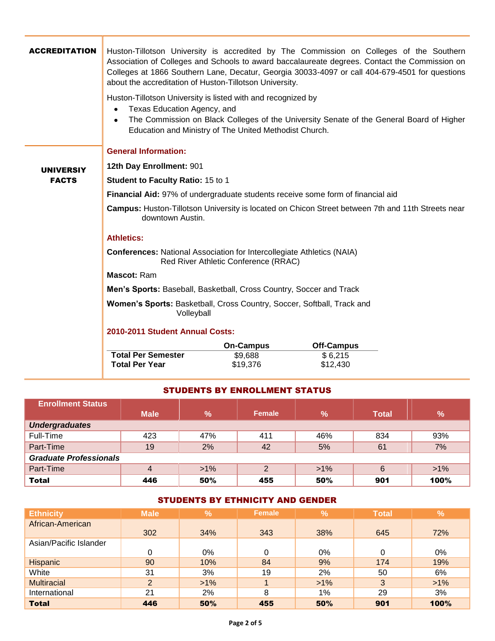| <b>ACCREDITATION</b> | about the accreditation of Huston-Tillotson University.<br>Huston-Tillotson University is listed with and recognized by<br>Texas Education Agency, and<br>$\bullet$<br>$\bullet$<br>Education and Ministry of The United Methodist Church. |                  | Huston-Tillotson University is accredited by The Commission on Colleges of the Southern<br>Association of Colleges and Schools to award baccalaureate degrees. Contact the Commission on<br>Colleges at 1866 Southern Lane, Decatur, Georgia 30033-4097 or call 404-679-4501 for questions<br>The Commission on Black Colleges of the University Senate of the General Board of Higher |  |  |  |  |  |  |
|----------------------|--------------------------------------------------------------------------------------------------------------------------------------------------------------------------------------------------------------------------------------------|------------------|----------------------------------------------------------------------------------------------------------------------------------------------------------------------------------------------------------------------------------------------------------------------------------------------------------------------------------------------------------------------------------------|--|--|--|--|--|--|
|                      | <b>General Information:</b>                                                                                                                                                                                                                |                  |                                                                                                                                                                                                                                                                                                                                                                                        |  |  |  |  |  |  |
| <b>UNIVERSIY</b>     | 12th Day Enrollment: 901                                                                                                                                                                                                                   |                  |                                                                                                                                                                                                                                                                                                                                                                                        |  |  |  |  |  |  |
| <b>FACTS</b>         | <b>Student to Faculty Ratio: 15 to 1</b>                                                                                                                                                                                                   |                  |                                                                                                                                                                                                                                                                                                                                                                                        |  |  |  |  |  |  |
|                      | Financial Aid: 97% of undergraduate students receive some form of financial aid                                                                                                                                                            |                  |                                                                                                                                                                                                                                                                                                                                                                                        |  |  |  |  |  |  |
|                      | Campus: Huston-Tillotson University is located on Chicon Street between 7th and 11th Streets near<br>downtown Austin.                                                                                                                      |                  |                                                                                                                                                                                                                                                                                                                                                                                        |  |  |  |  |  |  |
|                      | <b>Athletics:</b>                                                                                                                                                                                                                          |                  |                                                                                                                                                                                                                                                                                                                                                                                        |  |  |  |  |  |  |
|                      | <b>Conferences: National Association for Intercollegiate Athletics (NAIA)</b><br>Red River Athletic Conference (RRAC)                                                                                                                      |                  |                                                                                                                                                                                                                                                                                                                                                                                        |  |  |  |  |  |  |
|                      | Mascot: Ram                                                                                                                                                                                                                                |                  |                                                                                                                                                                                                                                                                                                                                                                                        |  |  |  |  |  |  |
|                      | Men's Sports: Baseball, Basketball, Cross Country, Soccer and Track                                                                                                                                                                        |                  |                                                                                                                                                                                                                                                                                                                                                                                        |  |  |  |  |  |  |
|                      | Women's Sports: Basketball, Cross Country, Soccer, Softball, Track and<br>Volleyball                                                                                                                                                       |                  |                                                                                                                                                                                                                                                                                                                                                                                        |  |  |  |  |  |  |
|                      | 2010-2011 Student Annual Costs:                                                                                                                                                                                                            |                  |                                                                                                                                                                                                                                                                                                                                                                                        |  |  |  |  |  |  |
|                      |                                                                                                                                                                                                                                            | <b>On-Campus</b> | <b>Off-Campus</b>                                                                                                                                                                                                                                                                                                                                                                      |  |  |  |  |  |  |
|                      | <b>Total Per Semester</b>                                                                                                                                                                                                                  | \$9,688          | \$6,215                                                                                                                                                                                                                                                                                                                                                                                |  |  |  |  |  |  |
|                      | <b>Total Per Year</b>                                                                                                                                                                                                                      | \$19,376         | \$12,430                                                                                                                                                                                                                                                                                                                                                                               |  |  |  |  |  |  |

### STUDENTS BY ENROLLMENT STATUS

| <b>Enrollment Status</b>      |                |        |               |               |              |               |  |
|-------------------------------|----------------|--------|---------------|---------------|--------------|---------------|--|
|                               | <b>Male</b>    | $\%$   | <b>Female</b> | $\frac{9}{6}$ | <b>Total</b> | $\frac{9}{6}$ |  |
| <b>Undergraduates</b>         |                |        |               |               |              |               |  |
| Full-Time                     | 423            | 47%    | 411           | 46%           | 834          | 93%           |  |
| Part-Time                     | 19             | 2%     | 42            | 5%            | 61           | 7%            |  |
| <b>Graduate Professionals</b> |                |        |               |               |              |               |  |
| Part-Time                     | $\overline{4}$ | $>1\%$ | 2             | $>1\%$        | 6            | $>1\%$        |  |
| <b>Total</b>                  | 446            | 50%    | 455           | 50%           | 901          | 100%          |  |

# STUDENTS BY ETHNICITY AND GENDER

| <b>Ethnicity</b>       | <b>Male</b> | $\frac{9}{6}$ | <b>Female</b> | $\frac{9}{6}$ | <b>Total</b> | $\frac{9}{6}$ |
|------------------------|-------------|---------------|---------------|---------------|--------------|---------------|
| African-American       |             |               |               |               |              |               |
|                        | 302         | 34%           | 343           | 38%           | 645          | 72%           |
| Asian/Pacific Islander |             |               |               |               |              |               |
|                        |             | 0%            | 0             | 0%            | 0            | $0\%$         |
| Hispanic               | 90          | 10%           | 84            | 9%            | 174          | 19%           |
| White                  | 31          | 3%            | 19            | 2%            | 50           | 6%            |
| <b>Multiracial</b>     | 2           | $>1\%$        |               | $>1\%$        | 3            | $>1\%$        |
| International          | 21          | 2%            | 8             | $1\%$         | 29           | 3%            |
| <b>Total</b>           | 446         | 50%           | 455           | 50%           | 901          | 100%          |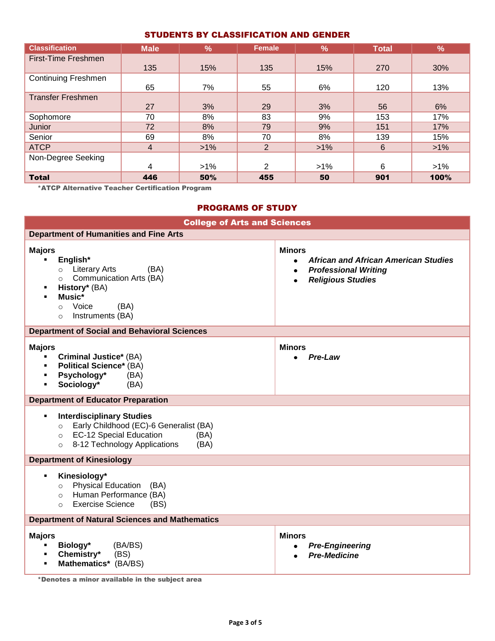### STUDENTS BY CLASSIFICATION AND GENDER

| <b>Classification</b>      | <b>Male</b> | $\frac{9}{6}$ | <b>Female</b>  | $\sqrt{2}$ | <b>Total</b> | %      |
|----------------------------|-------------|---------------|----------------|------------|--------------|--------|
| First-Time Freshmen        |             |               |                |            |              |        |
|                            | 135         | 15%           | 135            | 15%        | 270          | 30%    |
| <b>Continuing Freshmen</b> |             |               |                |            |              |        |
|                            | 65          | 7%            | 55             | 6%         | 120          | 13%    |
| <b>Transfer Freshmen</b>   |             |               |                |            |              |        |
|                            | 27          | 3%            | 29             | 3%         | 56           | 6%     |
| Sophomore                  | 70          | 8%            | 83             | 9%         | 153          | 17%    |
| Junior                     | 72          | 8%            | 79             | 9%         | 151          | 17%    |
| Senior                     | 69          | 8%            | 70             | 8%         | 139          | 15%    |
| <b>ATCP</b>                | 4           | $>1\%$        | 2              | $>1\%$     | 6            | $>1\%$ |
| Non-Degree Seeking         |             |               |                |            |              |        |
|                            | 4           | $>1\%$        | $\overline{2}$ | $>1\%$     | 6            | $>1\%$ |
| <b>Total</b>               | 446         | 50%           | 455            | 50         | 901          | 100%   |

\*ATCP Alternative Teacher Certification Program

## PROGRAMS OF STUDY

| <b>College of Arts and Sciences</b>                                                                                                                                                                        |                                                                                                                                                                |  |  |  |  |  |
|------------------------------------------------------------------------------------------------------------------------------------------------------------------------------------------------------------|----------------------------------------------------------------------------------------------------------------------------------------------------------------|--|--|--|--|--|
| <b>Department of Humanities and Fine Arts</b>                                                                                                                                                              |                                                                                                                                                                |  |  |  |  |  |
| <b>Majors</b><br>English*<br>٠<br><b>Literary Arts</b><br>(BA)<br>$\circ$<br>Communication Arts (BA)<br>$\circ$<br>History* (BA)<br>п<br>Music*<br>Voice<br>(BA)<br>$\circ$<br>Instruments (BA)<br>$\circ$ | <b>Minors</b><br><b>African and African American Studies</b><br>$\bullet$<br><b>Professional Writing</b><br>$\bullet$<br><b>Religious Studies</b><br>$\bullet$ |  |  |  |  |  |
| <b>Department of Social and Behavioral Sciences</b>                                                                                                                                                        |                                                                                                                                                                |  |  |  |  |  |
| <b>Majors</b><br><b>Criminal Justice*</b> (BA)<br>٠<br><b>Political Science*</b> (BA)<br>٠<br>Psychology*<br>(BA)<br>٠<br>Sociology*<br>(BA)<br>٠                                                          | <b>Minors</b><br>Pre-Law                                                                                                                                       |  |  |  |  |  |
| <b>Department of Educator Preparation</b>                                                                                                                                                                  |                                                                                                                                                                |  |  |  |  |  |
| <b>Interdisciplinary Studies</b><br>٠<br>Early Childhood (EC)-6 Generalist (BA)<br>$\circ$<br><b>EC-12 Special Education</b><br>(BA)<br>$\circ$<br>8-12 Technology Applications<br>(BA)<br>$\circ$         |                                                                                                                                                                |  |  |  |  |  |
| <b>Department of Kinesiology</b>                                                                                                                                                                           |                                                                                                                                                                |  |  |  |  |  |
| Kinesiology*<br>Е<br>Physical Education (BA)<br>$\circ$<br>Human Performance (BA)<br>$\circ$<br><b>Exercise Science</b><br>(BS)<br>$\circ$                                                                 |                                                                                                                                                                |  |  |  |  |  |
| <b>Department of Natural Sciences and Mathematics</b>                                                                                                                                                      |                                                                                                                                                                |  |  |  |  |  |
| <b>Majors</b><br>Biology*<br>(BA/BS)<br>٠<br>(BS)<br>Chemistry*<br>٠<br>Mathematics* (BA/BS)<br>٠                                                                                                          | <b>Minors</b><br><b>Pre-Engineering</b><br>٠<br><b>Pre-Medicine</b>                                                                                            |  |  |  |  |  |

\*Denotes a minor available in the subject area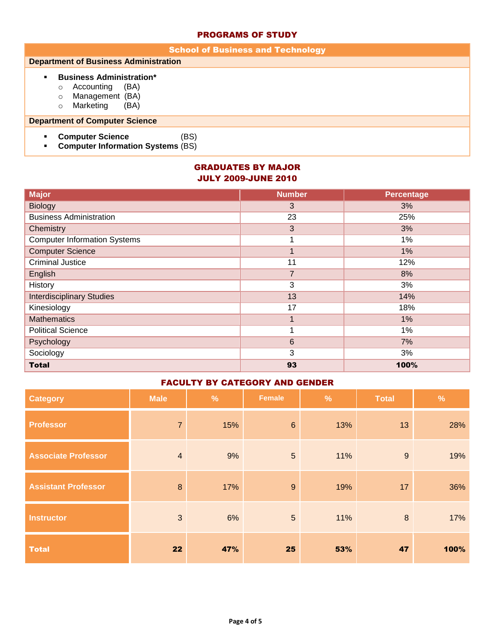#### PROGRAMS OF STUDY

| <b>School of Business and Technology</b>                                                                                                   |  |  |  |  |  |  |
|--------------------------------------------------------------------------------------------------------------------------------------------|--|--|--|--|--|--|
| <b>Department of Business Administration</b>                                                                                               |  |  |  |  |  |  |
| <b>Business Administration*</b><br>$\blacksquare$<br>(BA)<br>Accounting<br>O<br>Management (BA)<br>$\circ$<br>Marketing<br>(BA)<br>$\circ$ |  |  |  |  |  |  |
| <b>Department of Computer Science</b>                                                                                                      |  |  |  |  |  |  |
| <b>Computer Science</b><br>(BS)<br>٠<br><b>Computer Information Systems (BS)</b><br>٠                                                      |  |  |  |  |  |  |

## GRADUATES BY MAJOR JULY 2009-JUNE 2010

| <b>Major</b>                        | <b>Number</b>  | <b>Percentage</b> |
|-------------------------------------|----------------|-------------------|
| <b>Biology</b>                      | 3              | 3%                |
| <b>Business Administration</b>      | 23             | 25%               |
| Chemistry                           | 3              | 3%                |
| <b>Computer Information Systems</b> |                | 1%                |
| <b>Computer Science</b>             |                | 1%                |
| <b>Criminal Justice</b>             | 11             | 12%               |
| English                             | $\overline{7}$ | 8%                |
| History                             | 3              | 3%                |
| <b>Interdisciplinary Studies</b>    | 13             | 14%               |
| Kinesiology                         | 17             | 18%               |
| <b>Mathematics</b>                  |                | $1\%$             |
| <b>Political Science</b>            |                | 1%                |
| Psychology                          | 6              | 7%                |
| Sociology                           | 3              | 3%                |
| <b>Total</b>                        | 93             | 100%              |

### FACULTY BY CATEGORY AND GENDER

| <b>Category</b>            | <b>Male</b>    | $\frac{9}{6}$ | Female         | $\frac{9}{6}$ | <b>Total</b> | $\frac{9}{6}$ |
|----------------------------|----------------|---------------|----------------|---------------|--------------|---------------|
| <b>Professor</b>           | $\overline{7}$ | 15%           | $6\phantom{1}$ | 13%           | 13           | 28%           |
| <b>Associate Professor</b> | $\overline{4}$ | 9%            | 5              | 11%           | 9            | 19%           |
| <b>Assistant Professor</b> | 8              | 17%           | 9              | 19%           | 17           | 36%           |
| <b>Instructor</b>          | 3              | 6%            | $5\phantom{.}$ | 11%           | $\, 8$       | 17%           |
| <b>Total</b>               | 22             | 47%           | 25             | 53%           | 47           | 100%          |